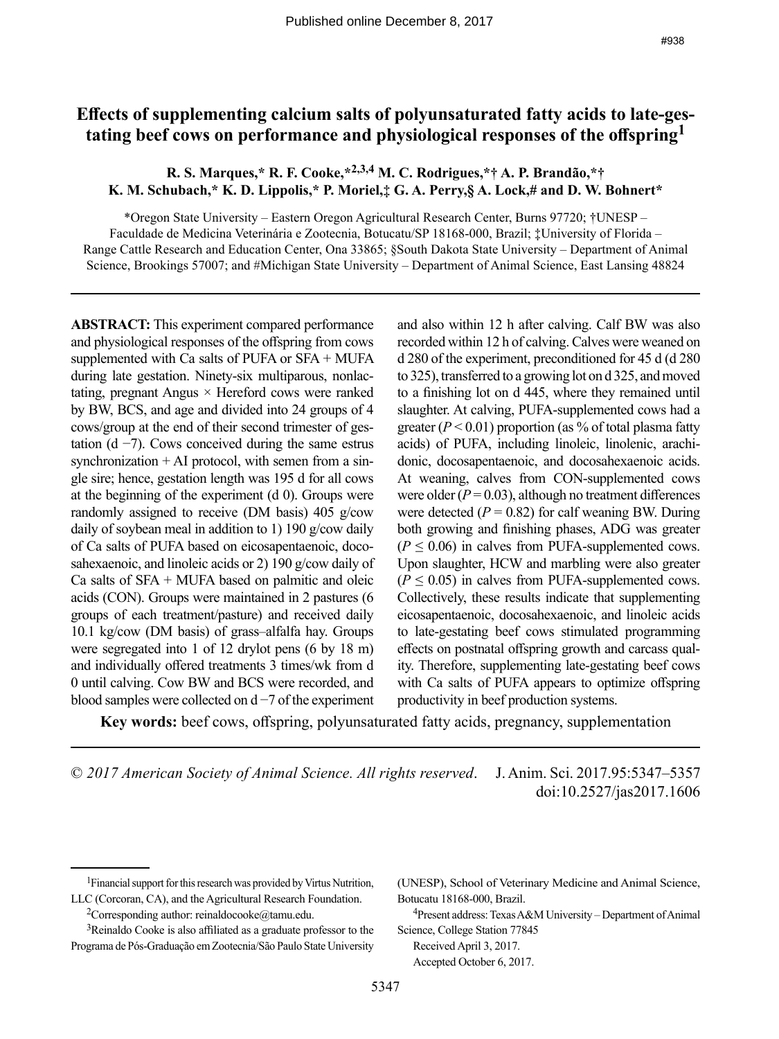# **Effects of supplementing calcium salts of polyunsaturated fatty acids to late-gestating beef cows on performance and physiological responses of the offspring<sup>1</sup>**

# **R. S. Marques,\* R. F. Cooke,\*2,3,4 M. C. Rodrigues,\*† A. P. Brandão,\*† K. M. Schubach,\* K. D. Lippolis,\* P. Moriel,‡ G. A. Perry,§ A. Lock,# and D. W. Bohnert\***

\*Oregon State University – Eastern Oregon Agricultural Research Center, Burns 97720; †UNESP – Faculdade de Medicina Veterinária e Zootecnia, Botucatu/SP 18168-000, Brazil; ‡University of Florida – Range Cattle Research and Education Center, Ona 33865; §South Dakota State University – Department of Animal Science, Brookings 57007; and #Michigan State University – Department of Animal Science, East Lansing 48824

**ABSTRACT:** This experiment compared performance and physiological responses of the offspring from cows supplemented with Ca salts of PUFA or SFA + MUFA during late gestation. Ninety-six multiparous, nonlactating, pregnant Angus × Hereford cows were ranked by BW, BCS, and age and divided into 24 groups of 4 cows/group at the end of their second trimester of gestation (d  $-7$ ). Cows conceived during the same estrus synchronization  $+$  AI protocol, with semen from a single sire; hence, gestation length was 195 d for all cows at the beginning of the experiment (d 0). Groups were randomly assigned to receive (DM basis) 405 g/cow daily of soybean meal in addition to 1) 190 g/cow daily of Ca salts of PUFA based on eicosapentaenoic, docosahexaenoic, and linoleic acids or 2) 190 g/cow daily of Ca salts of  $SFA + MUFA$  based on palmitic and oleic acids (CON). Groups were maintained in 2 pastures (6 groups of each treatment/pasture) and received daily 10.1 kg/cow (DM basis) of grass–alfalfa hay. Groups were segregated into 1 of 12 drylot pens (6 by 18 m) and individually offered treatments 3 times/wk from d 0 until calving. Cow BW and BCS were recorded, and blood samples were collected on d −7 of the experiment

and also within 12 h after calving. Calf BW was also recorded within 12 h of calving. Calves were weaned on d 280 of the experiment, preconditioned for 45 d (d 280 to 325), transferred to a growing lot on d 325, and moved to a finishing lot on d 445, where they remained until slaughter. At calving, PUFA-supplemented cows had a greater  $(P < 0.01)$  proportion (as % of total plasma fatty acids) of PUFA, including linoleic, linolenic, arachidonic, docosapentaenoic, and docosahexaenoic acids. At weaning, calves from CON-supplemented cows were older  $(P = 0.03)$ , although no treatment differences were detected  $(P = 0.82)$  for calf weaning BW. During both growing and finishing phases, ADG was greater  $(P \le 0.06)$  in calves from PUFA-supplemented cows. Upon slaughter, HCW and marbling were also greater  $(P \le 0.05)$  in calves from PUFA-supplemented cows. Collectively, these results indicate that supplementing eicosapentaenoic, docosahexaenoic, and linoleic acids to late-gestating beef cows stimulated programming effects on postnatal offspring growth and carcass quality. Therefore, supplementing late-gestating beef cows with Ca salts of PUFA appears to optimize offspring productivity in beef production systems.

**Key words:** beef cows, offspring, polyunsaturated fatty acids, pregnancy, supplementation

© *2017 American Society of Animal Science. All rights reserved*. J. Anim. Sci. 2017.95:5347–5357 doi:10.2527/jas2017.1606

<sup>4</sup>Present address: Texas A&M University – Department of Animal Science, College Station 77845 Received April 3, 2017.

Accepted October 6, 2017.

<sup>1</sup>Financial support for this research was provided by Virtus Nutrition, LLC (Corcoran, CA), and the Agricultural Research Foundation.

<sup>&</sup>lt;sup>2</sup>Corresponding author: reinaldocooke@tamu.edu.

<sup>3</sup>Reinaldo Cooke is also affiliated as a graduate professor to the Programa de Pós-Graduação em Zootecnia/São Paulo State University

<sup>(</sup>UNESP), School of Veterinary Medicine and Animal Science, Botucatu 18168-000, Brazil.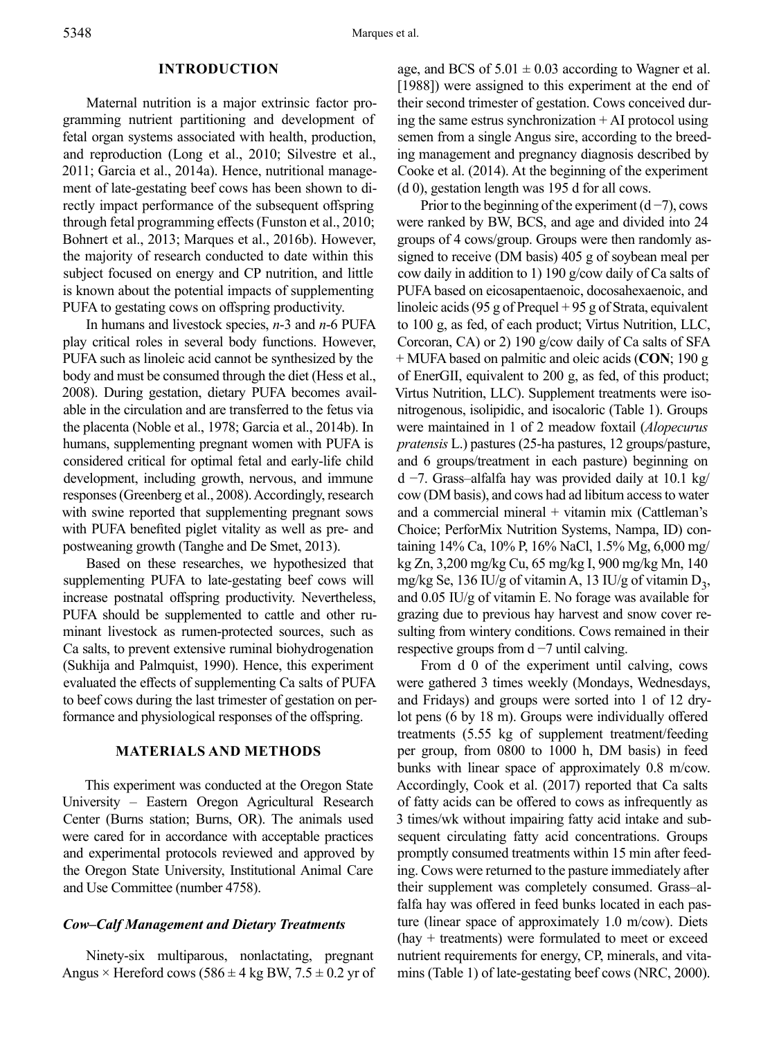### **INTRODUCTION**

Maternal nutrition is a major extrinsic factor programming nutrient partitioning and development of fetal organ systems associated with health, production, and reproduction (Long et al., 2010; Silvestre et al., 2011; Garcia et al., 2014a). Hence, nutritional management of late-gestating beef cows has been shown to directly impact performance of the subsequent offspring through fetal programming effects (Funston et al., 2010; Bohnert et al., 2013; Marques et al., 2016b). However, the majority of research conducted to date within this subject focused on energy and CP nutrition, and little is known about the potential impacts of supplementing PUFA to gestating cows on offspring productivity.

In humans and livestock species, *n*-3 and *n*-6 PUFA play critical roles in several body functions. However, PUFA such as linoleic acid cannot be synthesized by the body and must be consumed through the diet (Hess et al., 2008). During gestation, dietary PUFA becomes available in the circulation and are transferred to the fetus via the placenta (Noble et al., 1978; Garcia et al., 2014b). In humans, supplementing pregnant women with PUFA is considered critical for optimal fetal and early-life child development, including growth, nervous, and immune responses (Greenberg et al., 2008). Accordingly, research with swine reported that supplementing pregnant sows with PUFA benefited piglet vitality as well as pre- and postweaning growth (Tanghe and De Smet, 2013).

Based on these researches, we hypothesized that supplementing PUFA to late-gestating beef cows will increase postnatal offspring productivity. Nevertheless, PUFA should be supplemented to cattle and other ruminant livestock as rumen-protected sources, such as Ca salts, to prevent extensive ruminal biohydrogenation (Sukhija and Palmquist, 1990). Hence, this experiment evaluated the effects of supplementing Ca salts of PUFA to beef cows during the last trimester of gestation on performance and physiological responses of the offspring.

# **MATERIALS AND METHODS**

This experiment was conducted at the Oregon State University – Eastern Oregon Agricultural Research Center (Burns station; Burns, OR). The animals used were cared for in accordance with acceptable practices and experimental protocols reviewed and approved by the Oregon State University, Institutional Animal Care and Use Committee (number 4758).

### *Cow–Calf Management and Dietary Treatments*

Ninety-six multiparous, nonlactating, pregnant Angus  $\times$  Hereford cows (586  $\pm$  4 kg BW, 7.5  $\pm$  0.2 yr of age, and BCS of  $5.01 \pm 0.03$  according to Wagner et al. [1988]) were assigned to this experiment at the end of their second trimester of gestation. Cows conceived during the same estrus synchronization + AI protocol using semen from a single Angus sire, according to the breeding management and pregnancy diagnosis described by Cooke et al. (2014). At the beginning of the experiment (d 0), gestation length was 195 d for all cows.

Prior to the beginning of the experiment  $(d-7)$ , cows were ranked by BW, BCS, and age and divided into 24 groups of 4 cows/group. Groups were then randomly assigned to receive (DM basis) 405 g of soybean meal per cow daily in addition to 1) 190 g/cow daily of Ca salts of PUFA based on eicosapentaenoic, docosahexaenoic, and linoleic acids (95 g of Prequel  $+95$  g of Strata, equivalent to 100 g, as fed, of each product; Virtus Nutrition, LLC, Corcoran, CA) or 2) 190 g/cow daily of Ca salts of SFA + MUFA based on palmitic and oleic acids (**CON**; 190 g of EnerGII, equivalent to 200 g, as fed, of this product; Virtus Nutrition, LLC). Supplement treatments were isonitrogenous, isolipidic, and isocaloric (Table 1). Groups were maintained in 1 of 2 meadow foxtail (*Alopecurus pratensis* L.) pastures (25-ha pastures, 12 groups/pasture, and 6 groups/treatment in each pasture) beginning on d −7. Grass–alfalfa hay was provided daily at 10.1 kg/ cow (DM basis), and cows had ad libitum access to water and a commercial mineral  $+$  vitamin mix (Cattleman's Choice; PerforMix Nutrition Systems, Nampa, ID) containing 14% Ca, 10% P, 16% NaCl, 1.5% Mg, 6,000 mg/ kg Zn, 3,200 mg/kg Cu, 65 mg/kg I, 900 mg/kg Mn, 140 mg/kg Se, 136 IU/g of vitamin A, 13 IU/g of vitamin  $D_3$ , and 0.05 IU/g of vitamin E. No forage was available for grazing due to previous hay harvest and snow cover resulting from wintery conditions. Cows remained in their respective groups from  $d - 7$  until calving.

From d 0 of the experiment until calving, cows were gathered 3 times weekly (Mondays, Wednesdays, and Fridays) and groups were sorted into 1 of 12 drylot pens (6 by 18 m). Groups were individually offered treatments (5.55 kg of supplement treatment/feeding per group, from 0800 to 1000 h, DM basis) in feed bunks with linear space of approximately 0.8 m/cow. Accordingly, Cook et al. (2017) reported that Ca salts of fatty acids can be offered to cows as infrequently as 3 times/wk without impairing fatty acid intake and subsequent circulating fatty acid concentrations. Groups promptly consumed treatments within 15 min after feeding. Cows were returned to the pasture immediately after their supplement was completely consumed. Grass–alfalfa hay was offered in feed bunks located in each pasture (linear space of approximately 1.0 m/cow). Diets (hay + treatments) were formulated to meet or exceed nutrient requirements for energy, CP, minerals, and vitamins (Table 1) of late-gestating beef cows (NRC, 2000).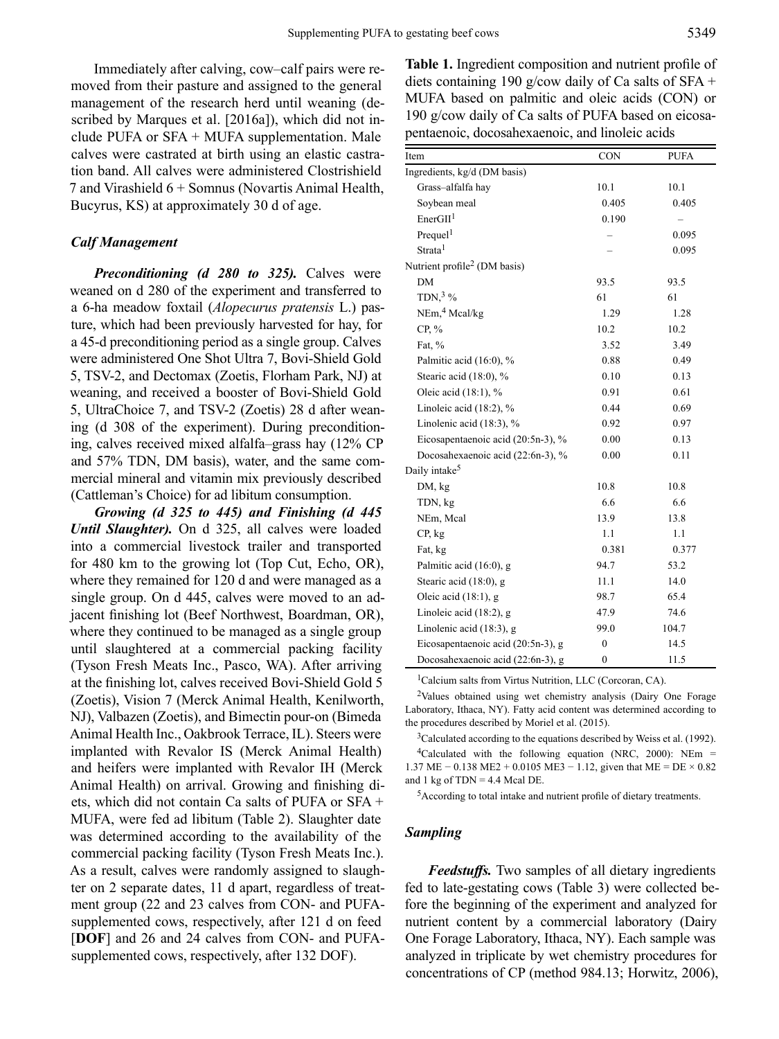Immediately after calving, cow–calf pairs were removed from their pasture and assigned to the general management of the research herd until weaning (described by Marques et al. [2016a]), which did not include PUFA or SFA + MUFA supplementation. Male calves were castrated at birth using an elastic castration band. All calves were administered Clostrishield 7 and Virashield 6 + Somnus (Novartis Animal Health, Bucyrus, KS) at approximately 30 d of age.

# *Calf Management*

*Preconditioning (d 280 to 325).* Calves were weaned on d 280 of the experiment and transferred to a 6-ha meadow foxtail (*Alopecurus pratensis* L.) pasture, which had been previously harvested for hay, for a 45-d preconditioning period as a single group. Calves were administered One Shot Ultra 7, Bovi-Shield Gold 5, TSV-2, and Dectomax (Zoetis, Florham Park, NJ) at weaning, and received a booster of Bovi-Shield Gold 5, UltraChoice 7, and TSV-2 (Zoetis) 28 d after weaning (d 308 of the experiment). During preconditioning, calves received mixed alfalfa–grass hay (12% CP and 57% TDN, DM basis), water, and the same commercial mineral and vitamin mix previously described (Cattleman's Choice) for ad libitum consumption.

*Growing (d 325 to 445) and Finishing (d 445 Until Slaughter*). On d 325, all calves were loaded into a commercial livestock trailer and transported for 480 km to the growing lot (Top Cut, Echo, OR), where they remained for 120 d and were managed as a single group. On d 445, calves were moved to an adjacent finishing lot (Beef Northwest, Boardman, OR), where they continued to be managed as a single group until slaughtered at a commercial packing facility (Tyson Fresh Meats Inc., Pasco, WA). After arriving at the finishing lot, calves received Bovi-Shield Gold 5 (Zoetis), Vision 7 (Merck Animal Health, Kenilworth, NJ), Valbazen (Zoetis), and Bimectin pour-on (Bimeda Animal Health Inc., Oakbrook Terrace, IL). Steers were implanted with Revalor IS (Merck Animal Health) and heifers were implanted with Revalor IH (Merck Animal Health) on arrival. Growing and finishing diets, which did not contain Ca salts of PUFA or SFA + MUFA, were fed ad libitum (Table 2). Slaughter date was determined according to the availability of the commercial packing facility (Tyson Fresh Meats Inc.). As a result, calves were randomly assigned to slaughter on 2 separate dates, 11 d apart, regardless of treatment group (22 and 23 calves from CON- and PUFAsupplemented cows, respectively, after 121 d on feed [**DOF**] and 26 and 24 calves from CON- and PUFAsupplemented cows, respectively, after 132 DOF).

**Table 1.** Ingredient composition and nutrient profile of diets containing 190 g/cow daily of Ca salts of SFA + MUFA based on palmitic and oleic acids (CON) or 190 g/cow daily of Ca salts of PUFA based on eicosapentaenoic, docosahexaenoic, and linoleic acids

| Item                                     | <b>CON</b>   | <b>PUFA</b>              |
|------------------------------------------|--------------|--------------------------|
| Ingredients, kg/d (DM basis)             |              |                          |
| Grass-alfalfa hay                        | 10.1         | 10.1                     |
| Soybean meal                             | 0.405        | 0.405                    |
| EnerGH <sup>1</sup>                      | 0.190        | $\overline{\phantom{0}}$ |
| Prequel <sup>1</sup>                     |              | 0.095                    |
| Strata <sup>1</sup>                      |              | 0.095                    |
| Nutrient profile <sup>2</sup> (DM basis) |              |                          |
| <b>DM</b>                                | 93.5         | 93.5                     |
| TDN, $3\%$                               | 61           | 61                       |
| NEm, <sup>4</sup> Mcal/kg                | 1.29         | 1.28                     |
| CP, %                                    | 10.2         | 10.2                     |
| Fat, %                                   | 3.52         | 3.49                     |
| Palmitic acid (16:0), %                  | 0.88         | 0.49                     |
| Stearic acid (18:0), %                   | 0.10         | 0.13                     |
| Oleic acid (18:1), %                     | 0.91         | 0.61                     |
| Linoleic acid (18:2), %                  | 0.44         | 0.69                     |
| Linolenic acid (18:3), %                 | 0.92         | 0.97                     |
| Eicosapentaenoic acid (20:5n-3), %       | 0.00         | 0.13                     |
| Docosahexaenoic acid (22:6n-3), %        | 0.00         | 0.11                     |
| Daily intake <sup>5</sup>                |              |                          |
| DM, kg                                   | 10.8         | 10.8                     |
| TDN, kg                                  | 6.6          | 6.6                      |
| NEm, Mcal                                | 13.9         | 13.8                     |
| CP, kg                                   | 1.1          | 1.1                      |
| Fat, kg                                  | 0.381        | 0.377                    |
| Palmitic acid (16:0), g                  | 94.7         | 53.2                     |
| Stearic acid (18:0), g                   | 11.1         | 14.0                     |
| Oleic acid $(18:1)$ , g                  | 98.7         | 65.4                     |
| Linoleic acid (18:2), g                  | 47.9         | 74.6                     |
| Linolenic acid (18:3), g                 | 99.0         | 104.7                    |
| Eicosapentaenoic acid (20:5n-3), g       | $\mathbf{0}$ | 14.5                     |
| Docosahexaenoic acid (22:6n-3), g        | $\mathbf{0}$ | 11.5                     |

<sup>1</sup>Calcium salts from Virtus Nutrition, LLC (Corcoran, CA).

2Values obtained using wet chemistry analysis (Dairy One Forage Laboratory, Ithaca, NY). Fatty acid content was determined according to the procedures described by Moriel et al. (2015).

<sup>3</sup>Calculated according to the equations described by Weiss et al. (1992). <sup>4</sup>Calculated with the following equation (NRC, 2000): NEm = 1.37 ME − 0.138 ME2 + 0.0105 ME3 − 1.12, given that ME = DE × 0.82 and 1 kg of  $TDN = 4.4$  Mcal DE.

<sup>5</sup>According to total intake and nutrient profile of dietary treatments.

### *Sampling*

*Feedstuffs.* Two samples of all dietary ingredients fed to late-gestating cows (Table 3) were collected before the beginning of the experiment and analyzed for nutrient content by a commercial laboratory (Dairy One Forage Laboratory, Ithaca, NY). Each sample was analyzed in triplicate by wet chemistry procedures for concentrations of CP (method 984.13; Horwitz, 2006),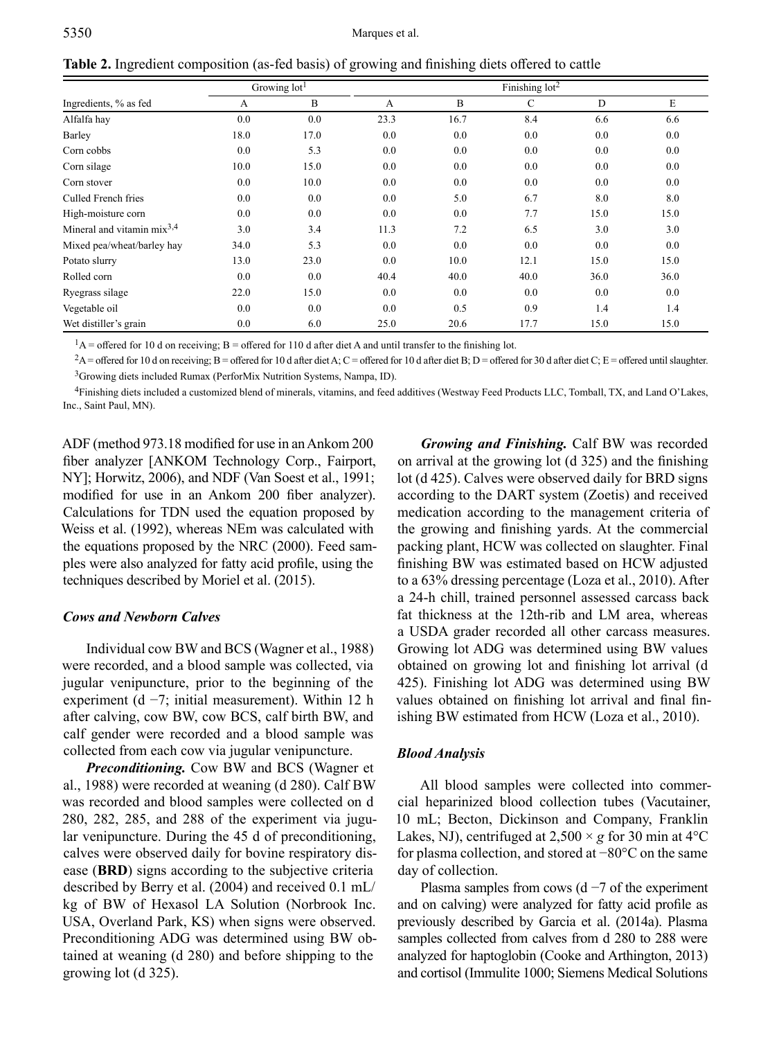**Table 2.** Ingredient composition (as-fed basis) of growing and finishing diets offered to cattle

|                                 |      | Growing lot <sup>1</sup> |      | Finishing $10t^2$ |              |      |      |
|---------------------------------|------|--------------------------|------|-------------------|--------------|------|------|
| Ingredients, % as fed           | A    | B                        | A    | $\mathbf B$       | $\mathsf{C}$ | D    | E    |
| Alfalfa hay                     | 0.0  | 0.0                      | 23.3 | 16.7              | 8.4          | 6.6  | 6.6  |
| Barley                          | 18.0 | 17.0                     | 0.0  | 0.0               | 0.0          | 0.0  | 0.0  |
| Corn cobbs                      | 0.0  | 5.3                      | 0.0  | 0.0               | 0.0          | 0.0  | 0.0  |
| Corn silage                     | 10.0 | 15.0                     | 0.0  | 0.0               | 0.0          | 0.0  | 0.0  |
| Corn stover                     | 0.0  | 10.0                     | 0.0  | 0.0               | 0.0          | 0.0  | 0.0  |
| Culled French fries             | 0.0  | 0.0                      | 0.0  | 5.0               | 6.7          | 8.0  | 8.0  |
| High-moisture corn              | 0.0  | 0.0                      | 0.0  | 0.0               | 7.7          | 15.0 | 15.0 |
| Mineral and vitamin $mix^{3,4}$ | 3.0  | 3.4                      | 11.3 | 7.2               | 6.5          | 3.0  | 3.0  |
| Mixed pea/wheat/barley hay      | 34.0 | 5.3                      | 0.0  | 0.0               | 0.0          | 0.0  | 0.0  |
| Potato slurry                   | 13.0 | 23.0                     | 0.0  | 10.0              | 12.1         | 15.0 | 15.0 |
| Rolled corn                     | 0.0  | 0.0                      | 40.4 | 40.0              | 40.0         | 36.0 | 36.0 |
| Ryegrass silage                 | 22.0 | 15.0                     | 0.0  | 0.0               | 0.0          | 0.0  | 0.0  |
| Vegetable oil                   | 0.0  | 0.0                      | 0.0  | 0.5               | 0.9          | 1.4  | 1.4  |
| Wet distiller's grain           | 0.0  | 6.0                      | 25.0 | 20.6              | 17.7         | 15.0 | 15.0 |

 $1_A$  = offered for 10 d on receiving; B = offered for 110 d after diet A and until transfer to the finishing lot.

 ${}^{2}A$  = offered for 10 d on receiving; B = offered for 10 d after diet A; C = offered for 10 d after diet B; D = offered for 30 d after diet C; E = offered until slaughter. <sup>3</sup>Growing diets included Rumax (PerforMix Nutrition Systems, Nampa, ID).

4Finishing diets included a customized blend of minerals, vitamins, and feed additives (Westway Feed Products LLC, Tomball, TX, and Land O'Lakes, Inc., Saint Paul, MN).

ADF (method 973.18 modified for use in an Ankom 200 fiber analyzer [ANKOM Technology Corp., Fairport, NY]; Horwitz, 2006), and NDF (Van Soest et al., 1991; modified for use in an Ankom 200 fiber analyzer). Calculations for TDN used the equation proposed by Weiss et al. (1992), whereas NEm was calculated with the equations proposed by the NRC (2000). Feed samples were also analyzed for fatty acid profile, using the techniques described by Moriel et al. (2015).

### *Cows and Newborn Calves*

Individual cow BW and BCS (Wagner et al., 1988) were recorded, and a blood sample was collected, via jugular venipuncture, prior to the beginning of the experiment (d  $-7$ ; initial measurement). Within 12 h after calving, cow BW, cow BCS, calf birth BW, and calf gender were recorded and a blood sample was collected from each cow via jugular venipuncture.

*Preconditioning.* Cow BW and BCS (Wagner et al., 1988) were recorded at weaning (d 280). Calf BW was recorded and blood samples were collected on d 280, 282, 285, and 288 of the experiment via jugular venipuncture. During the 45 d of preconditioning, calves were observed daily for bovine respiratory disease (**BRD**) signs according to the subjective criteria described by Berry et al. (2004) and received 0.1 mL/ kg of BW of Hexasol LA Solution (Norbrook Inc. USA, Overland Park, KS) when signs were observed. Preconditioning ADG was determined using BW obtained at weaning (d 280) and before shipping to the growing lot (d 325).

*Growing and Finishing.* Calf BW was recorded on arrival at the growing lot (d 325) and the finishing lot (d 425). Calves were observed daily for BRD signs according to the DART system (Zoetis) and received medication according to the management criteria of the growing and finishing yards. At the commercial packing plant, HCW was collected on slaughter. Final finishing BW was estimated based on HCW adjusted to a 63% dressing percentage (Loza et al., 2010). After a 24-h chill, trained personnel assessed carcass back fat thickness at the 12th-rib and LM area, whereas a USDA grader recorded all other carcass measures. Growing lot ADG was determined using BW values obtained on growing lot and finishing lot arrival (d 425). Finishing lot ADG was determined using BW values obtained on finishing lot arrival and final finishing BW estimated from HCW (Loza et al., 2010).

### *Blood Analysis*

All blood samples were collected into commercial heparinized blood collection tubes (Vacutainer, 10 mL; Becton, Dickinson and Company, Franklin Lakes, NJ), centrifuged at  $2,500 \times g$  for 30 min at 4<sup>o</sup>C for plasma collection, and stored at −80°C on the same day of collection.

Plasma samples from cows ( $d - 7$  of the experiment and on calving) were analyzed for fatty acid profile as previously described by Garcia et al. (2014a). Plasma samples collected from calves from d 280 to 288 were analyzed for haptoglobin (Cooke and Arthington, 2013) and cortisol (Immulite 1000; Siemens Medical Solutions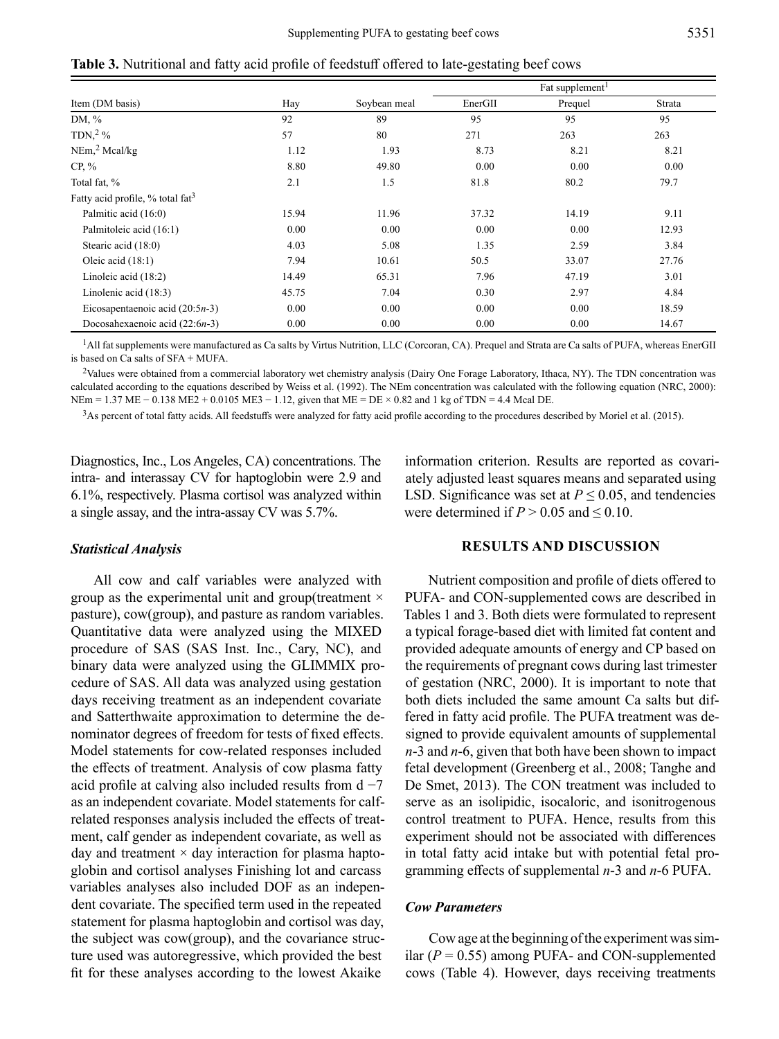**Table 3.** Nutritional and fatty acid profile of feedstuff offered to late-gestating beef cows

|                                       |       |              | Fat supplement <sup>1</sup> |         |        |
|---------------------------------------|-------|--------------|-----------------------------|---------|--------|
| Item (DM basis)                       | Hay   | Soybean meal | EnerGII                     | Prequel | Strata |
| DM, %                                 | 92    | 89           | 95                          | 95      | 95     |
| TDN, $2\%$                            | 57    | 80           | 271                         | 263     | 263    |
| NEm <sub>1</sub> <sup>2</sup> Meal/kg | 1.12  | 1.93         | 8.73                        | 8.21    | 8.21   |
| $CP, \%$                              | 8.80  | 49.80        | 0.00                        | 0.00    | 0.00   |
| Total fat, %                          | 2.1   | 1.5          | 81.8                        | 80.2    | 79.7   |
| Fatty acid profile, % total $fat3$    |       |              |                             |         |        |
| Palmitic acid (16:0)                  | 15.94 | 11.96        | 37.32                       | 14.19   | 9.11   |
| Palmitoleic acid (16:1)               | 0.00  | 0.00         | 0.00                        | 0.00    | 12.93  |
| Stearic acid $(18:0)$                 | 4.03  | 5.08         | 1.35                        | 2.59    | 3.84   |
| Oleic acid $(18:1)$                   | 7.94  | 10.61        | 50.5                        | 33.07   | 27.76  |
| Linoleic acid (18:2)                  | 14.49 | 65.31        | 7.96                        | 47.19   | 3.01   |
| Linolenic acid (18:3)                 | 45.75 | 7.04         | 0.30                        | 2.97    | 4.84   |
| Eicosapentaenoic acid $(20:5n-3)$     | 0.00  | 0.00         | 0.00                        | 0.00    | 18.59  |
| Docosahexaenoic acid $(22:6n-3)$      | 0.00  | 0.00         | 0.00                        | 0.00    | 14.67  |

1All fat supplements were manufactured as Ca salts by Virtus Nutrition, LLC (Corcoran, CA). Prequel and Strata are Ca salts of PUFA, whereas EnerGII is based on Ca salts of SFA + MUFA.

<sup>2</sup>Values were obtained from a commercial laboratory wet chemistry analysis (Dairy One Forage Laboratory, Ithaca, NY). The TDN concentration was calculated according to the equations described by Weiss et al. (1992). The NEm concentration was calculated with the following equation (NRC, 2000): NEm = 1.37 ME − 0.138 ME2 + 0.0105 ME3 − 1.12, given that ME = DE × 0.82 and 1 kg of TDN = 4.4 Mcal DE.

 $3$ As percent of total fatty acids. All feedstuffs were analyzed for fatty acid profile according to the procedures described by Moriel et al. (2015).

Diagnostics, Inc., Los Angeles, CA) concentrations. The intra- and interassay CV for haptoglobin were 2.9 and 6.1%, respectively. Plasma cortisol was analyzed within a single assay, and the intra-assay CV was 5.7%.

# information criterion. Results are reported as covariately adjusted least squares means and separated using LSD. Significance was set at  $P \leq 0.05$ , and tendencies were determined if  $P > 0.05$  and  $\leq 0.10$ .

### *Statistical Analysis*

All cow and calf variables were analyzed with group as the experimental unit and group(treatment × pasture), cow(group), and pasture as random variables. Quantitative data were analyzed using the MIXED procedure of SAS (SAS Inst. Inc., Cary, NC), and binary data were analyzed using the GLIMMIX procedure of SAS. All data was analyzed using gestation days receiving treatment as an independent covariate and Satterthwaite approximation to determine the denominator degrees of freedom for tests of fixed effects. Model statements for cow-related responses included the effects of treatment. Analysis of cow plasma fatty acid profile at calving also included results from  $d - 7$ as an independent covariate. Model statements for calfrelated responses analysis included the effects of treatment, calf gender as independent covariate, as well as day and treatment  $\times$  day interaction for plasma haptoglobin and cortisol analyses Finishing lot and carcass variables analyses also included DOF as an independent covariate. The specified term used in the repeated statement for plasma haptoglobin and cortisol was day, the subject was cow(group), and the covariance structure used was autoregressive, which provided the best fit for these analyses according to the lowest Akaike

### **RESULTS AND DISCUSSION**

Nutrient composition and profile of diets offered to PUFA- and CON-supplemented cows are described in Tables 1 and 3. Both diets were formulated to represent a typical forage-based diet with limited fat content and provided adequate amounts of energy and CP based on the requirements of pregnant cows during last trimester of gestation (NRC, 2000). It is important to note that both diets included the same amount Ca salts but differed in fatty acid profile. The PUFA treatment was designed to provide equivalent amounts of supplemental *n*-3 and *n*-6, given that both have been shown to impact fetal development (Greenberg et al., 2008; Tanghe and De Smet, 2013). The CON treatment was included to serve as an isolipidic, isocaloric, and isonitrogenous control treatment to PUFA. Hence, results from this experiment should not be associated with differences in total fatty acid intake but with potential fetal programming effects of supplemental *n*-3 and *n*-6 PUFA.

# *Cow Parameters*

Cow age at the beginning of the experiment was similar  $(P = 0.55)$  among PUFA- and CON-supplemented cows (Table 4). However, days receiving treatments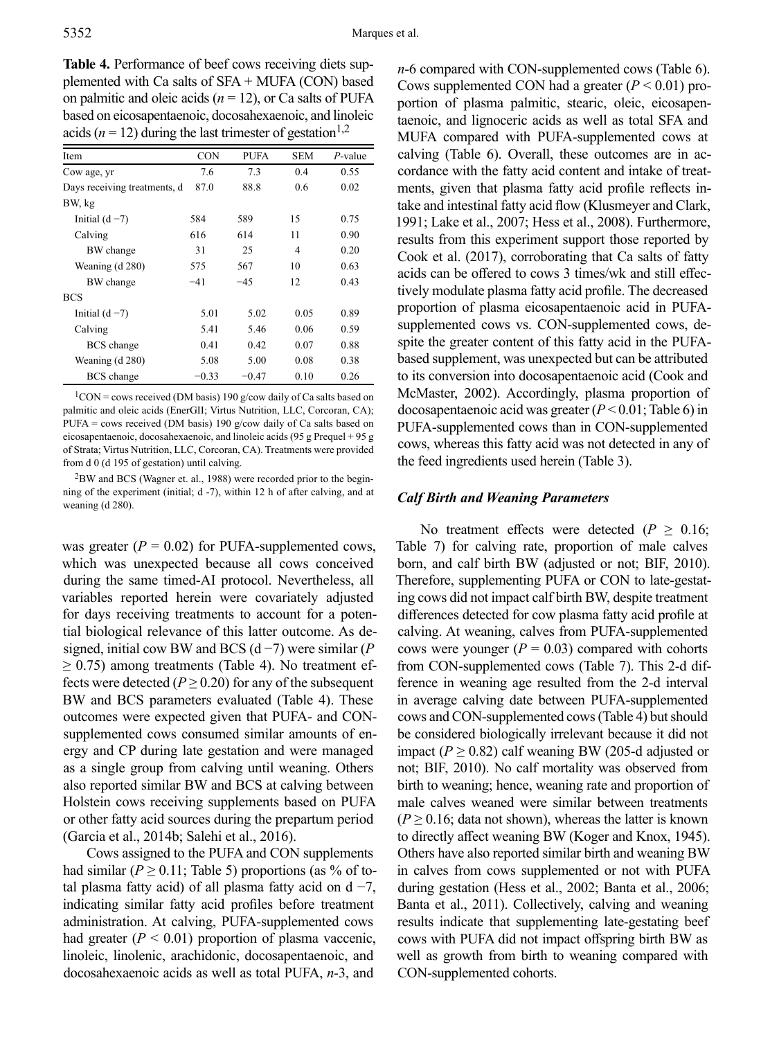**Table 4.** Performance of beef cows receiving diets supplemented with Ca salts of SFA + MUFA (CON) based on palmitic and oleic acids (*n* = 12), or Ca salts of PUFA based on eicosapentaenoic, docosahexaenoic, and linoleic acids ( $n = 12$ ) during the last trimester of gestation<sup>1,2</sup>

| Item                         | <b>CON</b> | <b>PUFA</b> | <b>SEM</b>     | $P$ -value |
|------------------------------|------------|-------------|----------------|------------|
| Cow age, yr                  | 7.6        | 7.3         | 0.4            | 0.55       |
| Days receiving treatments, d | 87.0       | 88.8        | 0.6            | 0.02       |
| BW, kg                       |            |             |                |            |
| Initial $(d-7)$              | 584        | 589         | 15             | 0.75       |
| Calving                      | 616        | 614         | 11             | 0.90       |
| BW change                    | 31         | 25          | $\overline{4}$ | 0.20       |
| Weaning (d 280)              | 575        | 567         | 10             | 0.63       |
| BW change                    | $-41$      | $-4.5$      | 12             | 0.43       |
| <b>BCS</b>                   |            |             |                |            |
| Initial $(d-7)$              | 5.01       | 5.02        | 0.05           | 0.89       |
| Calving                      | 5.41       | 5.46        | 0.06           | 0.59       |
| <b>BCS</b> change            | 0.41       | 0.42        | 0.07           | 0.88       |
| Weaning (d 280)              | 5.08       | 5.00        | 0.08           | 0.38       |
| <b>BCS</b> change            | $-0.33$    | $-0.47$     | 0.10           | 0.26       |

 $1$ CON = cows received (DM basis) 190 g/cow daily of Ca salts based on palmitic and oleic acids (EnerGII; Virtus Nutrition, LLC, Corcoran, CA); PUFA = cows received (DM basis) 190 g/cow daily of Ca salts based on eicosapentaenoic, docosahexaenoic, and linoleic acids (95 g Prequel + 95 g of Strata; Virtus Nutrition, LLC, Corcoran, CA). Treatments were provided from d 0 (d 195 of gestation) until calving.

 $2$ BW and BCS (Wagner et. al., 1988) were recorded prior to the beginning of the experiment (initial; d -7), within 12 h of after calving, and at weaning (d 280).

was greater  $(P = 0.02)$  for PUFA-supplemented cows, which was unexpected because all cows conceived during the same timed-AI protocol. Nevertheless, all variables reported herein were covariately adjusted for days receiving treatments to account for a potential biological relevance of this latter outcome. As designed, initial cow BW and BCS (d −7) were similar (*P*  $\geq$  0.75) among treatments (Table 4). No treatment effects were detected ( $P \ge 0.20$ ) for any of the subsequent BW and BCS parameters evaluated (Table 4). These outcomes were expected given that PUFA- and CONsupplemented cows consumed similar amounts of energy and CP during late gestation and were managed as a single group from calving until weaning. Others also reported similar BW and BCS at calving between Holstein cows receiving supplements based on PUFA or other fatty acid sources during the prepartum period (Garcia et al., 2014b; Salehi et al., 2016).

Cows assigned to the PUFA and CON supplements had similar ( $P \ge 0.11$ ; Table 5) proportions (as % of total plasma fatty acid) of all plasma fatty acid on d  $-7$ , indicating similar fatty acid profiles before treatment administration. At calving, PUFA-supplemented cows had greater  $(P < 0.01)$  proportion of plasma vaccenic, linoleic, linolenic, arachidonic, docosapentaenoic, and docosahexaenoic acids as well as total PUFA, *n*-3, and

*n*-6 compared with CON-supplemented cows (Table 6). Cows supplemented CON had a greater  $(P < 0.01)$  proportion of plasma palmitic, stearic, oleic, eicosapentaenoic, and lignoceric acids as well as total SFA and MUFA compared with PUFA-supplemented cows at calving (Table 6). Overall, these outcomes are in accordance with the fatty acid content and intake of treatments, given that plasma fatty acid profile reflects intake and intestinal fatty acid flow (Klusmeyer and Clark, 1991; Lake et al., 2007; Hess et al., 2008). Furthermore, results from this experiment support those reported by Cook et al. (2017), corroborating that Ca salts of fatty acids can be offered to cows 3 times/wk and still effectively modulate plasma fatty acid profile. The decreased proportion of plasma eicosapentaenoic acid in PUFAsupplemented cows vs. CON-supplemented cows, despite the greater content of this fatty acid in the PUFAbased supplement, was unexpected but can be attributed to its conversion into docosapentaenoic acid (Cook and McMaster, 2002). Accordingly, plasma proportion of docosapentaenoic acid was greater (*P* < 0.01; Table 6) in PUFA-supplemented cows than in CON-supplemented cows, whereas this fatty acid was not detected in any of the feed ingredients used herein (Table 3).

### *Calf Birth and Weaning Parameters*

No treatment effects were detected ( $P \ge 0.16$ ; Table 7) for calving rate, proportion of male calves born, and calf birth BW (adjusted or not; BIF, 2010). Therefore, supplementing PUFA or CON to late-gestating cows did not impact calf birth BW, despite treatment differences detected for cow plasma fatty acid profile at calving. At weaning, calves from PUFA-supplemented cows were younger  $(P = 0.03)$  compared with cohorts from CON-supplemented cows (Table 7). This 2-d difference in weaning age resulted from the 2-d interval in average calving date between PUFA-supplemented cows and CON-supplemented cows (Table 4) but should be considered biologically irrelevant because it did not impact ( $P \ge 0.82$ ) calf weaning BW (205-d adjusted or not; BIF, 2010). No calf mortality was observed from birth to weaning; hence, weaning rate and proportion of male calves weaned were similar between treatments  $(P \ge 0.16$ ; data not shown), whereas the latter is known to directly affect weaning BW (Koger and Knox, 1945). Others have also reported similar birth and weaning BW in calves from cows supplemented or not with PUFA during gestation (Hess et al., 2002; Banta et al., 2006; Banta et al., 2011). Collectively, calving and weaning results indicate that supplementing late-gestating beef cows with PUFA did not impact offspring birth BW as well as growth from birth to weaning compared with CON-supplemented cohorts.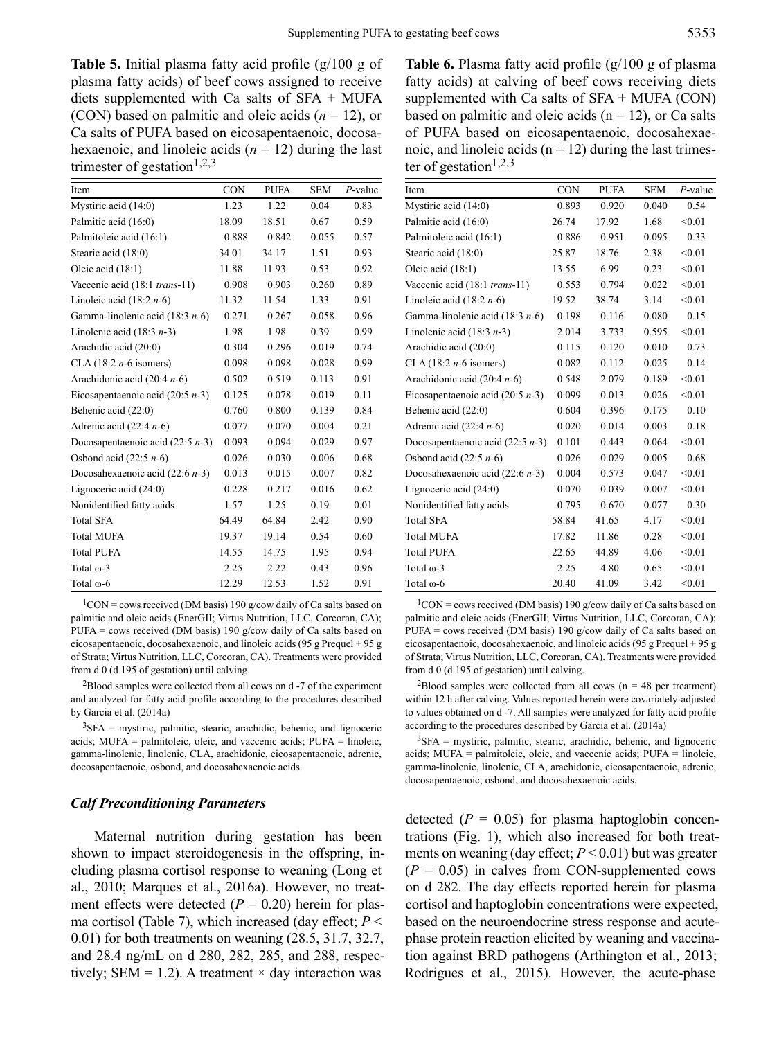**Table 5.** Initial plasma fatty acid profile (g/100 g of plasma fatty acids) of beef cows assigned to receive diets supplemented with Ca salts of SFA + MUFA (CON) based on palmitic and oleic acids (*n* = 12), or Ca salts of PUFA based on eicosapentaenoic, docosahexaenoic, and linoleic acids  $(n = 12)$  during the last trimester of gestation $1,2,3$ 

| Item                               | <b>CON</b> | <b>PUFA</b> | <b>SEM</b> | $P$ -value |
|------------------------------------|------------|-------------|------------|------------|
| Mystiric acid (14:0)               | 1.23       | 1.22        | 0.04       | 0.83       |
| Palmitic acid (16:0)               | 18.09      | 18.51       | 0.67       | 0.59       |
| Palmitoleic acid (16:1)            | 0.888      | 0.842       | 0.055      | 0.57       |
| Stearic acid (18:0)                | 34.01      | 34.17       | 1.51       | 0.93       |
| Oleic acid (18:1)                  | 11.88      | 11.93       | 0.53       | 0.92       |
| Vaccenic acid (18:1 trans-11)      | 0.908      | 0.903       | 0.260      | 0.89       |
| Linoleic acid $(18:2 n-6)$         | 11.32      | 11.54       | 1.33       | 0.91       |
| Gamma-linolenic acid $(18:3 n-6)$  | 0.271      | 0.267       | 0.058      | 0.96       |
| Linolenic acid $(18:3 n-3)$        | 1.98       | 1.98        | 0.39       | 0.99       |
| Arachidic acid (20:0)              | 0.304      | 0.296       | 0.019      | 0.74       |
| CLA $(18:2 n-6$ isomers)           | 0.098      | 0.098       | 0.028      | 0.99       |
| Arachidonic acid $(20:4 n-6)$      | 0.502      | 0.519       | 0.113      | 0.91       |
| Eicosapentaenoic acid $(20:5 n-3)$ | 0.125      | 0.078       | 0.019      | 0.11       |
| Behenic acid (22:0)                | 0.760      | 0.800       | 0.139      | 0.84       |
| Adrenic acid $(22:4 n-6)$          | 0.077      | 0.070       | 0.004      | 0.21       |
| Docosapentaenoic acid $(22:5 n-3)$ | 0.093      | 0.094       | 0.029      | 0.97       |
| Osbond acid $(22:5 n-6)$           | 0.026      | 0.030       | 0.006      | 0.68       |
| Docosahexaenoic acid $(22:6 n-3)$  | 0.013      | 0.015       | 0.007      | 0.82       |
| Lignoceric acid (24:0)             | 0.228      | 0.217       | 0.016      | 0.62       |
| Nonidentified fatty acids          | 1.57       | 1.25        | 0.19       | 0.01       |
| <b>Total SFA</b>                   | 64.49      | 64.84       | 2.42       | 0.90       |
| <b>Total MUFA</b>                  | 19.37      | 19.14       | 0.54       | 0.60       |
| <b>Total PUFA</b>                  | 14.55      | 14.75       | 1.95       | 0.94       |
| Total $\omega$ -3                  | 2.25       | 2.22        | 0.43       | 0.96       |
| Total $\omega$ -6                  | 12.29      | 12.53       | 1.52       | 0.91       |

 $1$ CON = cows received (DM basis) 190 g/cow daily of Ca salts based on palmitic and oleic acids (EnerGII; Virtus Nutrition, LLC, Corcoran, CA); PUFA = cows received (DM basis) 190 g/cow daily of Ca salts based on eicosapentaenoic, docosahexaenoic, and linoleic acids (95 g Prequel + 95 g of Strata; Virtus Nutrition, LLC, Corcoran, CA). Treatments were provided from d 0 (d 195 of gestation) until calving.

 $2B$ lood samples were collected from all cows on d  $-7$  of the experiment and analyzed for fatty acid profile according to the procedures described by Garcia et al. (2014a)

 $3$ SFA = mystiric, palmitic, stearic, arachidic, behenic, and lignoceric acids; MUFA = palmitoleic, oleic, and vaccenic acids; PUFA = linoleic, gamma-linolenic, linolenic, CLA, arachidonic, eicosapentaenoic, adrenic, docosapentaenoic, osbond, and docosahexaenoic acids.

### *Calf Preconditioning Parameters*

Maternal nutrition during gestation has been shown to impact steroidogenesis in the offspring, including plasma cortisol response to weaning (Long et al., 2010; Marques et al., 2016a). However, no treatment effects were detected  $(P = 0.20)$  herein for plasma cortisol (Table 7), which increased (day effect; *P* < 0.01) for both treatments on weaning (28.5, 31.7, 32.7, and 28.4 ng/mL on d 280, 282, 285, and 288, respectively; SEM = 1.2). A treatment  $\times$  day interaction was

**Table 6.** Plasma fatty acid profile (g/100 g of plasma fatty acids) at calving of beef cows receiving diets supplemented with Ca salts of  $SFA + MUFA (CON)$ based on palmitic and oleic acids  $(n = 12)$ , or Ca salts of PUFA based on eicosapentaenoic, docosahexaenoic, and linoleic acids ( $n = 12$ ) during the last trimester of gestation<sup>1,2,3</sup>

| Item                                | <b>CON</b> | <b>PUFA</b> | <b>SEM</b> | $P$ -value |
|-------------------------------------|------------|-------------|------------|------------|
| Mystiric acid (14:0)                | 0.893      | 0.920       | 0.040      | 0.54       |
| Palmitic acid (16:0)                | 26.74      | 17.92       | 1.68       | < 0.01     |
| Palmitoleic acid (16:1)             | 0.886      | 0.951       | 0.095      | 0.33       |
| Stearic acid (18:0)                 | 25.87      | 18.76       | 2.38       | < 0.01     |
| Oleic acid (18:1)                   | 13.55      | 6.99        | 0.23       | < 0.01     |
| Vaccenic acid (18:1 trans-11)       | 0.553      | 0.794       | 0.022      | < 0.01     |
| Linoleic acid $(18:2 n-6)$          | 19.52      | 38.74       | 3.14       | < 0.01     |
| Gamma-linolenic acid $(18:3 n-6)$   | 0.198      | 0.116       | 0.080      | 0.15       |
| Linolenic acid $(18:3 n-3)$         | 2.014      | 3.733       | 0.595      | < 0.01     |
| Arachidic acid (20:0)               | 0.115      | 0.120       | 0.010      | 0.73       |
| CLA $(18:2 n-6$ isomers)            | 0.082      | 0.112       | 0.025      | 0.14       |
| Arachidonic acid $(20:4 n-6)$       | 0.548      | 2.079       | 0.189      | < 0.01     |
| Eicosapentaenoic acid (20:5 $n-3$ ) | 0.099      | 0.013       | 0.026      | < 0.01     |
| Behenic acid (22:0)                 | 0.604      | 0.396       | 0.175      | 0.10       |
| Adrenic acid $(22:4 n-6)$           | 0.020      | 0.014       | 0.003      | 0.18       |
| Docosapentaenoic acid $(22:5 n-3)$  | 0.101      | 0.443       | 0.064      | < 0.01     |
| Osbond acid $(22:5 n-6)$            | 0.026      | 0.029       | 0.005      | 0.68       |
| Docosahexaenoic acid $(22:6 n-3)$   | 0.004      | 0.573       | 0.047      | < 0.01     |
| Lignoceric acid $(24:0)$            | 0.070      | 0.039       | 0.007      | < 0.01     |
| Nonidentified fatty acids           | 0.795      | 0.670       | 0.077      | 0.30       |
| <b>Total SFA</b>                    | 58.84      | 41.65       | 4.17       | < 0.01     |
| <b>Total MUFA</b>                   | 17.82      | 11.86       | 0.28       | < 0.01     |
| <b>Total PUFA</b>                   | 22.65      | 44.89       | 4.06       | < 0.01     |
| Total $\omega$ -3                   | 2.25       | 4.80        | 0.65       | < 0.01     |
| Total $\omega$ -6                   | 20.40      | 41.09       | 3.42       | < 0.01     |

 $1$ CON = cows received (DM basis) 190 g/cow daily of Ca salts based on palmitic and oleic acids (EnerGII; Virtus Nutrition, LLC, Corcoran, CA); PUFA = cows received (DM basis) 190 g/cow daily of Ca salts based on eicosapentaenoic, docosahexaenoic, and linoleic acids (95 g Prequel + 95 g of Strata; Virtus Nutrition, LLC, Corcoran, CA). Treatments were provided from d 0 (d 195 of gestation) until calving.

<sup>2</sup>Blood samples were collected from all cows ( $n = 48$  per treatment) within 12 h after calving. Values reported herein were covariately-adjusted to values obtained on d -7. All samples were analyzed for fatty acid profile according to the procedures described by Garcia et al. (2014a)

 ${}^{3}$ SFA = mystiric, palmitic, stearic, arachidic, behenic, and lignoceric acids; MUFA = palmitoleic, oleic, and vaccenic acids; PUFA = linoleic, gamma-linolenic, linolenic, CLA, arachidonic, eicosapentaenoic, adrenic, docosapentaenoic, osbond, and docosahexaenoic acids.

detected  $(P = 0.05)$  for plasma haptoglobin concentrations (Fig. 1), which also increased for both treatments on weaning (day effect; *P* < 0.01) but was greater  $(P = 0.05)$  in calves from CON-supplemented cows on d 282. The day effects reported herein for plasma cortisol and haptoglobin concentrations were expected, based on the neuroendocrine stress response and acutephase protein reaction elicited by weaning and vaccination against BRD pathogens (Arthington et al., 2013; Rodrigues et al., 2015). However, the acute-phase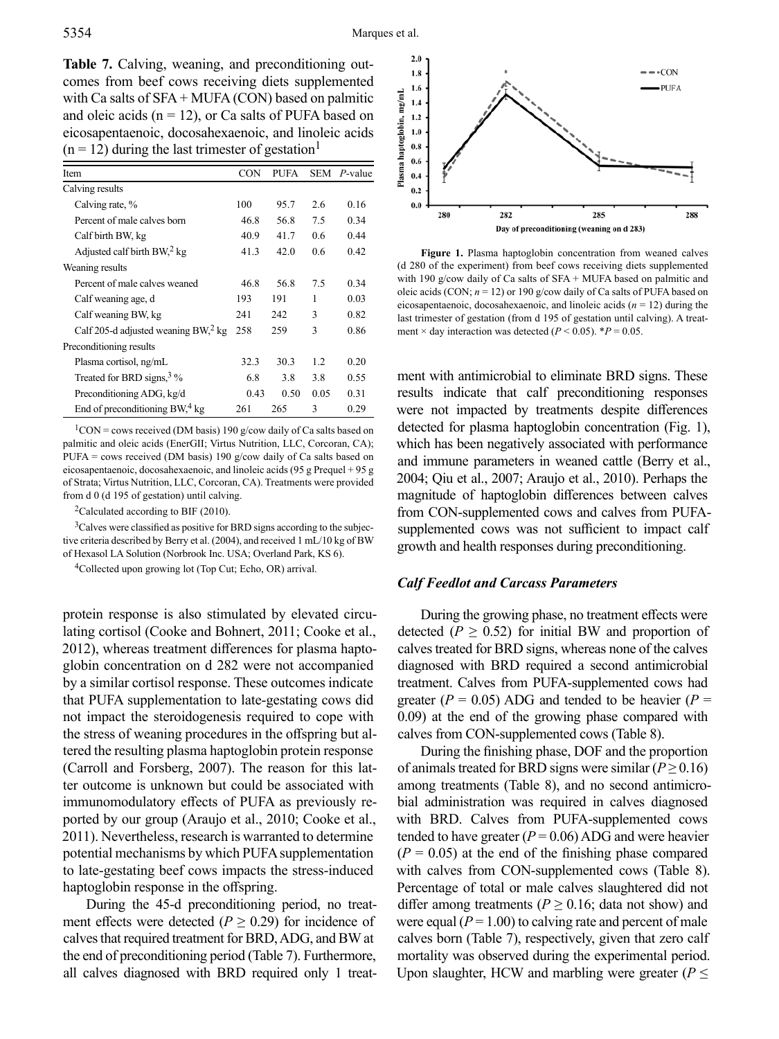**Table 7.** Calving, weaning, and preconditioning outcomes from beef cows receiving diets supplemented with Ca salts of SFA + MUFA (CON) based on palmitic and oleic acids  $(n = 12)$ , or Ca salts of PUFA based on eicosapentaenoic, docosahexaenoic, and linoleic acids  $(n = 12)$  during the last trimester of gestation<sup>1</sup>

| Item                                            | <b>CON</b> | <b>PUFA</b> | <b>SEM</b>    | $P$ -value |
|-------------------------------------------------|------------|-------------|---------------|------------|
| Calving results                                 |            |             |               |            |
| Calving rate, %                                 | 100        | 95.7        | 2.6           | 0.16       |
| Percent of male calves born                     | 46.8       | 56.8        | 7.5           | 0.34       |
| Calf birth BW, kg                               | 40.9       | 41.7        | $0.6^{\circ}$ | 0.44       |
| Adjusted calf birth $BW12$ kg                   | 41.3       | 42.0        | 0.6           | 0.42       |
| Weaning results                                 |            |             |               |            |
| Percent of male calves weaned                   | 46.8       | 56.8        | 7.5           | 0.34       |
| Calf weaning age, d                             | 193        | 191         | 1             | 0.03       |
| Calf weaning BW, kg                             | 241        | 242         | 3             | 0.82       |
| Calf 205-d adjusted weaning BW, <sup>2</sup> kg | 258        | 259         | 3             | 0.86       |
| Preconditioning results                         |            |             |               |            |
| Plasma cortisol, ng/mL                          | 32.3       | 30.3        | 1.2           | 0.20       |
| Treated for BRD signs, $3\%$                    | 6.8        | 3.8         | 3.8           | 0.55       |
| Preconditioning ADG, kg/d                       | 0.43       | 0.50        | 0.05          | 0.31       |
| End of preconditioning BW, <sup>4</sup> kg      | 261        | 265         | 3             | 0.29       |

 $1$ CON = cows received (DM basis) 190 g/cow daily of Ca salts based on palmitic and oleic acids (EnerGII; Virtus Nutrition, LLC, Corcoran, CA); PUFA = cows received (DM basis) 190 g/cow daily of Ca salts based on eicosapentaenoic, docosahexaenoic, and linoleic acids (95 g Prequel + 95 g of Strata; Virtus Nutrition, LLC, Corcoran, CA). Treatments were provided from d 0 (d 195 of gestation) until calving.

<sup>2</sup>Calculated according to BIF (2010).

<sup>3</sup>Calves were classified as positive for BRD signs according to the subjective criteria described by Berry et al. (2004), and received 1 mL/10 kg of BW of Hexasol LA Solution (Norbrook Inc. USA; Overland Park, KS 6).

4Collected upon growing lot (Top Cut; Echo, OR) arrival.

protein response is also stimulated by elevated circulating cortisol (Cooke and Bohnert, 2011; Cooke et al., 2012), whereas treatment differences for plasma haptoglobin concentration on d 282 were not accompanied by a similar cortisol response. These outcomes indicate that PUFA supplementation to late-gestating cows did not impact the steroidogenesis required to cope with the stress of weaning procedures in the offspring but altered the resulting plasma haptoglobin protein response (Carroll and Forsberg, 2007). The reason for this latter outcome is unknown but could be associated with immunomodulatory effects of PUFA as previously reported by our group (Araujo et al., 2010; Cooke et al., 2011). Nevertheless, research is warranted to determine potential mechanisms by which PUFA supplementation to late-gestating beef cows impacts the stress-induced haptoglobin response in the offspring.

During the 45-d preconditioning period, no treatment effects were detected ( $P \ge 0.29$ ) for incidence of calves that required treatment for BRD, ADG, and BW at the end of preconditioning period (Table 7). Furthermore, all calves diagnosed with BRD required only 1 treat-



**Figure 1.** Plasma haptoglobin concentration from weaned calves (d 280 of the experiment) from beef cows receiving diets supplemented with 190 g/cow daily of Ca salts of SFA + MUFA based on palmitic and oleic acids (CON; *n* = 12) or 190 g/cow daily of Ca salts of PUFA based on eicosapentaenoic, docosahexaenoic, and linoleic acids  $(n = 12)$  during the last trimester of gestation (from d 195 of gestation until calving). A treatment  $\times$  day interaction was detected ( $P \le 0.05$ ).  $*P = 0.05$ .

ment with antimicrobial to eliminate BRD signs. These results indicate that calf preconditioning responses were not impacted by treatments despite differences detected for plasma haptoglobin concentration (Fig. 1), which has been negatively associated with performance and immune parameters in weaned cattle (Berry et al., 2004; Qiu et al., 2007; Araujo et al., 2010). Perhaps the magnitude of haptoglobin differences between calves from CON-supplemented cows and calves from PUFAsupplemented cows was not sufficient to impact calf growth and health responses during preconditioning.

## *Calf Feedlot and Carcass Parameters*

During the growing phase, no treatment effects were detected ( $P \ge 0.52$ ) for initial BW and proportion of calves treated for BRD signs, whereas none of the calves diagnosed with BRD required a second antimicrobial treatment. Calves from PUFA-supplemented cows had greater ( $P = 0.05$ ) ADG and tended to be heavier ( $P =$ 0.09) at the end of the growing phase compared with calves from CON-supplemented cows (Table 8).

During the finishing phase, DOF and the proportion of animals treated for BRD signs were similar ( $P \ge 0.16$ ) among treatments (Table 8), and no second antimicrobial administration was required in calves diagnosed with BRD. Calves from PUFA-supplemented cows tended to have greater  $(P = 0.06)$  ADG and were heavier  $(P = 0.05)$  at the end of the finishing phase compared with calves from CON-supplemented cows (Table 8). Percentage of total or male calves slaughtered did not differ among treatments ( $P \ge 0.16$ ; data not show) and were equal  $(P = 1.00)$  to calving rate and percent of male calves born (Table 7), respectively, given that zero calf mortality was observed during the experimental period. Upon slaughter, HCW and marbling were greater ( $P \leq$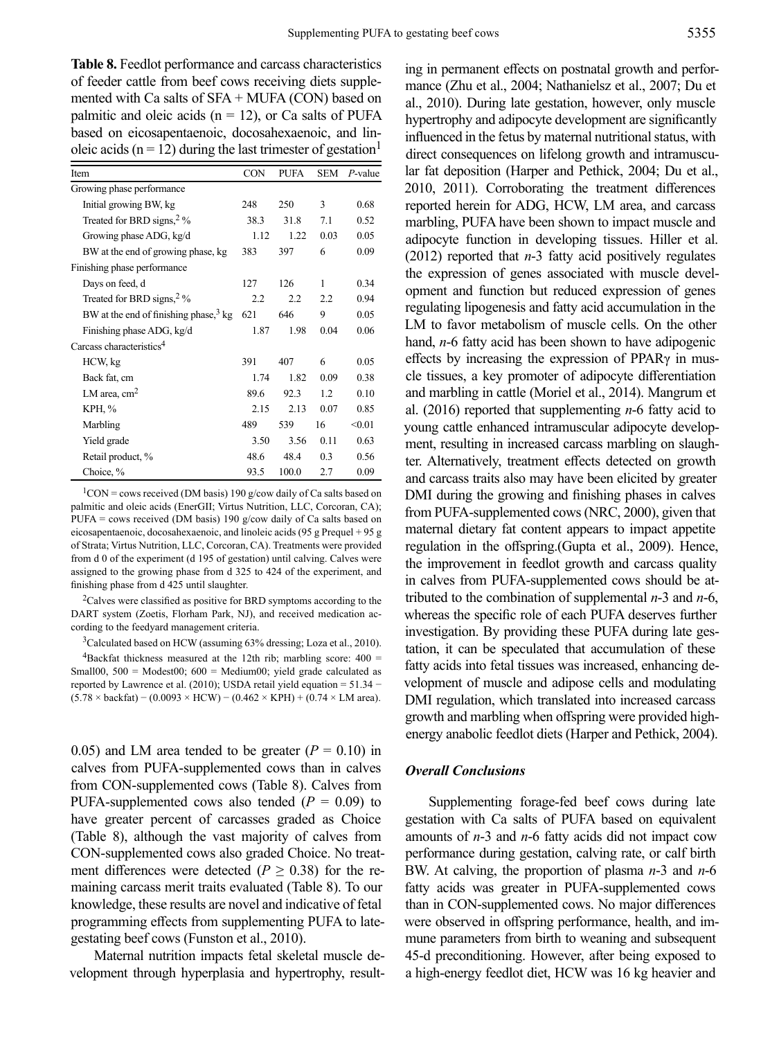**Table 8.** Feedlot performance and carcass characteristics of feeder cattle from beef cows receiving diets supplemented with Ca salts of  $SFA + MUFA (CON)$  based on palmitic and oleic acids ( $n = 12$ ), or Ca salts of PUFA based on eicosapentaenoic, docosahexaenoic, and linoleic acids ( $n = 12$ ) during the last trimester of gestation<sup>1</sup>

| Item                                             | <b>CON</b> | <b>PUFA</b> | <b>SEM</b> | $P$ -value |
|--------------------------------------------------|------------|-------------|------------|------------|
| Growing phase performance                        |            |             |            |            |
| Initial growing BW, kg                           | 248        | 250         | 3          | 0.68       |
| Treated for BRD signs, $2\%$                     | 38.3       | 31.8        | 7.1        | 0.52       |
| Growing phase ADG, kg/d                          | 1.12       | 1.22        | 0.03       | 0.05       |
| BW at the end of growing phase, kg               | 383        | 397         | 6          | 0.09       |
| Finishing phase performance                      |            |             |            |            |
| Days on feed, d                                  | 127        | 126         | 1          | 0.34       |
| Treated for BRD signs, $2\%$                     | 2.2        | 2.2         | 2.2        | 0.94       |
| BW at the end of finishing phase, $3 \text{ kg}$ | 621        | 646         | 9          | 0.05       |
| Finishing phase ADG, kg/d                        | 1.87       | 1.98        | 0.04       | 0.06       |
| Carcass characteristics <sup>4</sup>             |            |             |            |            |
| HCW, kg                                          | 391        | 407         | 6          | 0.05       |
| Back fat, cm                                     | 1.74       | 1.82        | 0.09       | 0.38       |
| LM area, $cm2$                                   | 89.6       | 92.3        | 1.2        | 0.10       |
| KPH, %                                           | 2.15       | 2.13        | 0.07       | 0.85       |
| Marbling                                         | 489        | 539         | 16         | < 0.01     |
| Yield grade                                      | 3.50       | 3.56        | 0.11       | 0.63       |
| Retail product, %                                | 48.6       | 48.4        | 0.3        | 0.56       |
| Choice, %                                        | 93.5       | 100.0       | 2.7        | 0.09       |

 $1$ CON = cows received (DM basis) 190 g/cow daily of Ca salts based on palmitic and oleic acids (EnerGII; Virtus Nutrition, LLC, Corcoran, CA); PUFA = cows received (DM basis) 190 g/cow daily of Ca salts based on eicosapentaenoic, docosahexaenoic, and linoleic acids (95 g Prequel + 95 g of Strata; Virtus Nutrition, LLC, Corcoran, CA). Treatments were provided from d 0 of the experiment (d 195 of gestation) until calving. Calves were assigned to the growing phase from d 325 to 424 of the experiment, and finishing phase from d 425 until slaughter.

<sup>2</sup>Calves were classified as positive for BRD symptoms according to the DART system (Zoetis, Florham Park, NJ), and received medication according to the feedyard management criteria.

3Calculated based on HCW (assuming 63% dressing; Loza et al., 2010). <sup>4</sup>Backfat thickness measured at the 12th rib; marbling score:  $400 =$ Small00,  $500 =$  Modest00;  $600 =$  Medium00; yield grade calculated as reported by Lawrence et al. (2010); USDA retail yield equation = 51.34 −  $(5.78 \times \text{backfat})$  –  $(0.0093 \times \text{HCW})$  –  $(0.462 \times \text{KPH})$  +  $(0.74 \times \text{LM area})$ .

0.05) and LM area tended to be greater  $(P = 0.10)$  in calves from PUFA-supplemented cows than in calves from CON-supplemented cows (Table 8). Calves from PUFA-supplemented cows also tended  $(P = 0.09)$  to have greater percent of carcasses graded as Choice (Table 8), although the vast majority of calves from CON-supplemented cows also graded Choice. No treatment differences were detected ( $P \ge 0.38$ ) for the remaining carcass merit traits evaluated (Table 8). To our knowledge, these results are novel and indicative of fetal programming effects from supplementing PUFA to lategestating beef cows (Funston et al., 2010).

Maternal nutrition impacts fetal skeletal muscle development through hyperplasia and hypertrophy, result-

ing in permanent effects on postnatal growth and performance (Zhu et al., 2004; Nathanielsz et al., 2007; Du et al., 2010). During late gestation, however, only muscle hypertrophy and adipocyte development are significantly influenced in the fetus by maternal nutritional status, with direct consequences on lifelong growth and intramuscular fat deposition (Harper and Pethick, 2004; Du et al., 2010, 2011). Corroborating the treatment differences reported herein for ADG, HCW, LM area, and carcass marbling, PUFA have been shown to impact muscle and adipocyte function in developing tissues. Hiller et al. (2012) reported that *n*-3 fatty acid positively regulates the expression of genes associated with muscle development and function but reduced expression of genes regulating lipogenesis and fatty acid accumulation in the LM to favor metabolism of muscle cells. On the other hand, *n*-6 fatty acid has been shown to have adipogenic effects by increasing the expression of PPARγ in muscle tissues, a key promoter of adipocyte differentiation and marbling in cattle (Moriel et al., 2014). Mangrum et al. (2016) reported that supplementing *n*-6 fatty acid to young cattle enhanced intramuscular adipocyte development, resulting in increased carcass marbling on slaughter. Alternatively, treatment effects detected on growth and carcass traits also may have been elicited by greater DMI during the growing and finishing phases in calves from PUFA-supplemented cows (NRC, 2000), given that maternal dietary fat content appears to impact appetite regulation in the offspring.(Gupta et al., 2009). Hence, the improvement in feedlot growth and carcass quality in calves from PUFA-supplemented cows should be attributed to the combination of supplemental *n*-3 and *n*-6, whereas the specific role of each PUFA deserves further investigation. By providing these PUFA during late gestation, it can be speculated that accumulation of these fatty acids into fetal tissues was increased, enhancing development of muscle and adipose cells and modulating DMI regulation, which translated into increased carcass growth and marbling when offspring were provided highenergy anabolic feedlot diets (Harper and Pethick, 2004).

### *Overall Conclusions*

Supplementing forage-fed beef cows during late gestation with Ca salts of PUFA based on equivalent amounts of *n*-3 and *n*-6 fatty acids did not impact cow performance during gestation, calving rate, or calf birth BW. At calving, the proportion of plasma *n*-3 and *n*-6 fatty acids was greater in PUFA-supplemented cows than in CON-supplemented cows. No major differences were observed in offspring performance, health, and immune parameters from birth to weaning and subsequent 45-d preconditioning. However, after being exposed to a high-energy feedlot diet, HCW was 16 kg heavier and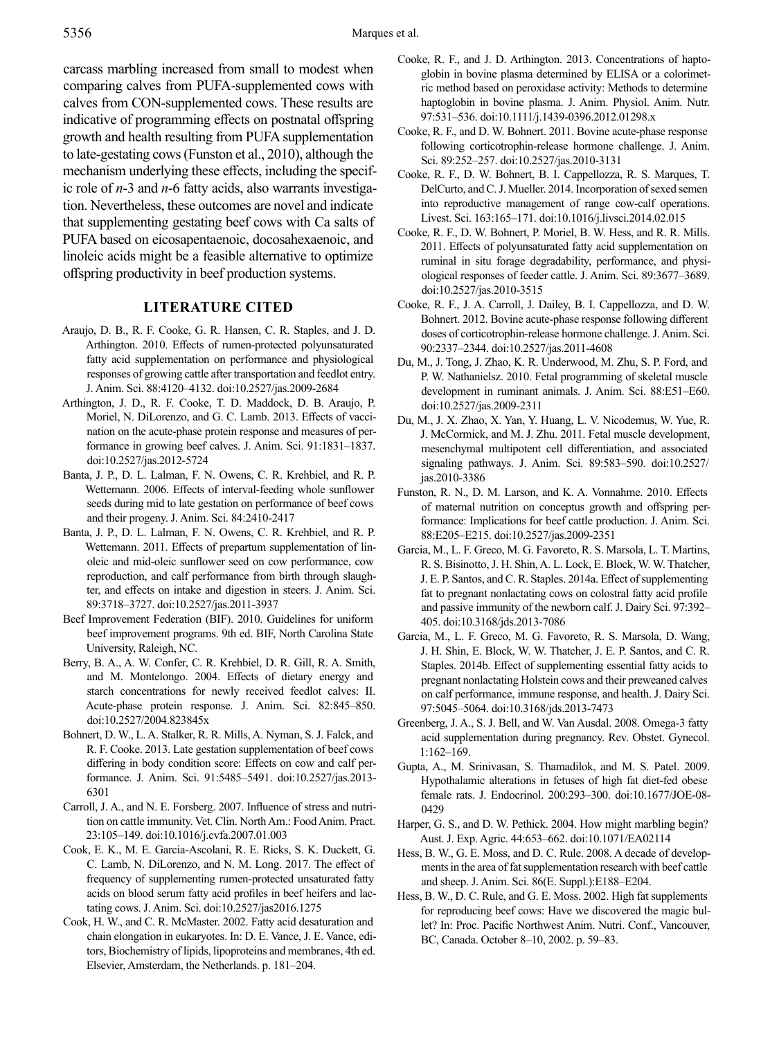carcass marbling increased from small to modest when comparing calves from PUFA-supplemented cows with calves from CON-supplemented cows. These results are indicative of programming effects on postnatal offspring growth and health resulting from PUFA supplementation to late-gestating cows (Funston et al., 2010), although the mechanism underlying these effects, including the specific role of *n*-3 and *n*-6 fatty acids, also warrants investigation. Nevertheless, these outcomes are novel and indicate that supplementing gestating beef cows with Ca salts of PUFA based on eicosapentaenoic, docosahexaenoic, and linoleic acids might be a feasible alternative to optimize offspring productivity in beef production systems.

## **Literature Cited**

- Araujo, D. B., R. F. Cooke, G. R. Hansen, C. R. Staples, and J. D. Arthington. 2010. Effects of rumen-protected polyunsaturated fatty acid supplementation on performance and physiological responses of growing cattle after transportation and feedlot entry. J. Anim. Sci. 88:4120–4132. doi:10.2527/jas.2009-2684
- Arthington, J. D., R. F. Cooke, T. D. Maddock, D. B. Araujo, P. Moriel, N. DiLorenzo, and G. C. Lamb. 2013. Effects of vaccination on the acute-phase protein response and measures of performance in growing beef calves. J. Anim. Sci. 91:1831–1837. doi:10.2527/jas.2012-5724
- Banta, J. P., D. L. Lalman, F. N. Owens, C. R. Krehbiel, and R. P. Wettemann. 2006. Effects of interval-feeding whole sunflower seeds during mid to late gestation on performance of beef cows and their progeny. J. Anim. Sci. 84:2410-2417
- Banta, J. P., D. L. Lalman, F. N. Owens, C. R. Krehbiel, and R. P. Wettemann. 2011. Effects of prepartum supplementation of linoleic and mid-oleic sunflower seed on cow performance, cow reproduction, and calf performance from birth through slaughter, and effects on intake and digestion in steers. J. Anim. Sci. 89:3718–3727. doi:10.2527/jas.2011-3937
- Beef Improvement Federation (BIF). 2010. Guidelines for uniform beef improvement programs. 9th ed. BIF, North Carolina State University, Raleigh, NC.
- Berry, B. A., A. W. Confer, C. R. Krehbiel, D. R. Gill, R. A. Smith, and M. Montelongo. 2004. Effects of dietary energy and starch concentrations for newly received feedlot calves: II. Acute-phase protein response. J. Anim. Sci. 82:845–850. doi:10.2527/2004.823845x
- Bohnert, D. W., L. A. Stalker, R. R. Mills, A. Nyman, S. J. Falck, and R. F. Cooke. 2013. Late gestation supplementation of beef cows differing in body condition score: Effects on cow and calf performance. J. Anim. Sci. 91:5485–5491. doi:10.2527/jas.2013- 6301
- Carroll, J. A., and N. E. Forsberg. 2007. Influence of stress and nutrition on cattle immunity. Vet. Clin. North Am.: Food Anim. Pract. 23:105–149. doi:10.1016/j.cvfa.2007.01.003
- Cook, E. K., M. E. Garcia-Ascolani, R. E. Ricks, S. K. Duckett, G. C. Lamb, N. DiLorenzo, and N. M. Long. 2017. The effect of frequency of supplementing rumen-protected unsaturated fatty acids on blood serum fatty acid profiles in beef heifers and lactating cows. J. Anim. Sci. doi:10.2527/jas2016.1275
- Cook, H. W., and C. R. McMaster. 2002. Fatty acid desaturation and chain elongation in eukaryotes. In: D. E. Vance, J. E. Vance, editors, Biochemistry of lipids, lipoproteins and membranes, 4th ed. Elsevier, Amsterdam, the Netherlands. p. 181–204.
- Cooke, R. F., and J. D. Arthington. 2013. Concentrations of haptoglobin in bovine plasma determined by ELISA or a colorimetric method based on peroxidase activity: Methods to determine haptoglobin in bovine plasma. J. Anim. Physiol. Anim. Nutr. 97:531–536. doi:10.1111/j.1439-0396.2012.01298.x
- Cooke, R. F., and D. W. Bohnert. 2011. Bovine acute-phase response following corticotrophin-release hormone challenge. J. Anim. Sci. 89:252–257. doi:10.2527/jas.2010-3131
- Cooke, R. F., D. W. Bohnert, B. I. Cappellozza, R. S. Marques, T. DelCurto, and C. J. Mueller. 2014. Incorporation of sexed semen into reproductive management of range cow-calf operations. Livest. Sci. 163:165–171. doi:10.1016/j.livsci.2014.02.015
- Cooke, R. F., D. W. Bohnert, P. Moriel, B. W. Hess, and R. R. Mills. 2011. Effects of polyunsaturated fatty acid supplementation on ruminal in situ forage degradability, performance, and physiological responses of feeder cattle. J. Anim. Sci. 89:3677–3689. doi:10.2527/jas.2010-3515
- Cooke, R. F., J. A. Carroll, J. Dailey, B. I. Cappellozza, and D. W. Bohnert. 2012. Bovine acute-phase response following different doses of corticotrophin-release hormone challenge. J. Anim. Sci. 90:2337–2344. doi:10.2527/jas.2011-4608
- Du, M., J. Tong, J. Zhao, K. R. Underwood, M. Zhu, S. P. Ford, and P. W. Nathanielsz. 2010. Fetal programming of skeletal muscle development in ruminant animals. J. Anim. Sci. 88:E51–E60. doi:10.2527/jas.2009-2311
- Du, M., J. X. Zhao, X. Yan, Y. Huang, L. V. Nicodemus, W. Yue, R. J. McCormick, and M. J. Zhu. 2011. Fetal muscle development, mesenchymal multipotent cell differentiation, and associated signaling pathways. J. Anim. Sci. 89:583–590. doi:10.2527/ jas.2010-3386
- Funston, R. N., D. M. Larson, and K. A. Vonnahme. 2010. Effects of maternal nutrition on conceptus growth and offspring performance: Implications for beef cattle production. J. Anim. Sci. 88:E205–E215. doi:10.2527/jas.2009-2351
- Garcia, M., L. F. Greco, M. G. Favoreto, R. S. Marsola, L. T. Martins, R. S. Bisinotto, J. H. Shin, A. L. Lock, E. Block, W. W. Thatcher, J. E. P. Santos, and C. R. Staples. 2014a. Effect of supplementing fat to pregnant nonlactating cows on colostral fatty acid profile and passive immunity of the newborn calf. J. Dairy Sci. 97:392– 405. doi:10.3168/jds.2013-7086
- Garcia, M., L. F. Greco, M. G. Favoreto, R. S. Marsola, D. Wang, J. H. Shin, E. Block, W. W. Thatcher, J. E. P. Santos, and C. R. Staples. 2014b. Effect of supplementing essential fatty acids to pregnant nonlactating Holstein cows and their preweaned calves on calf performance, immune response, and health. J. Dairy Sci. 97:5045–5064. doi:10.3168/jds.2013-7473
- Greenberg, J. A., S. J. Bell, and W. Van Ausdal. 2008. Omega-3 fatty acid supplementation during pregnancy. Rev. Obstet. Gynecol. 1:162–169.
- Gupta, A., M. Srinivasan, S. Thamadilok, and M. S. Patel. 2009. Hypothalamic alterations in fetuses of high fat diet-fed obese female rats. J. Endocrinol. 200:293–300. doi:10.1677/JOE-08- 0429
- Harper, G. S., and D. W. Pethick. 2004. How might marbling begin? Aust. J. Exp. Agric. 44:653–662. doi:10.1071/EA02114
- Hess, B. W., G. E. Moss, and D. C. Rule. 2008. A decade of developments in the area of fat supplementation research with beef cattle and sheep. J. Anim. Sci. 86(E. Suppl.):E188–E204.
- Hess, B. W., D. C. Rule, and G. E. Moss. 2002. High fat supplements for reproducing beef cows: Have we discovered the magic bullet? In: Proc. Pacific Northwest Anim. Nutri. Conf., Vancouver, BC, Canada. October 8–10, 2002. p. 59–83.